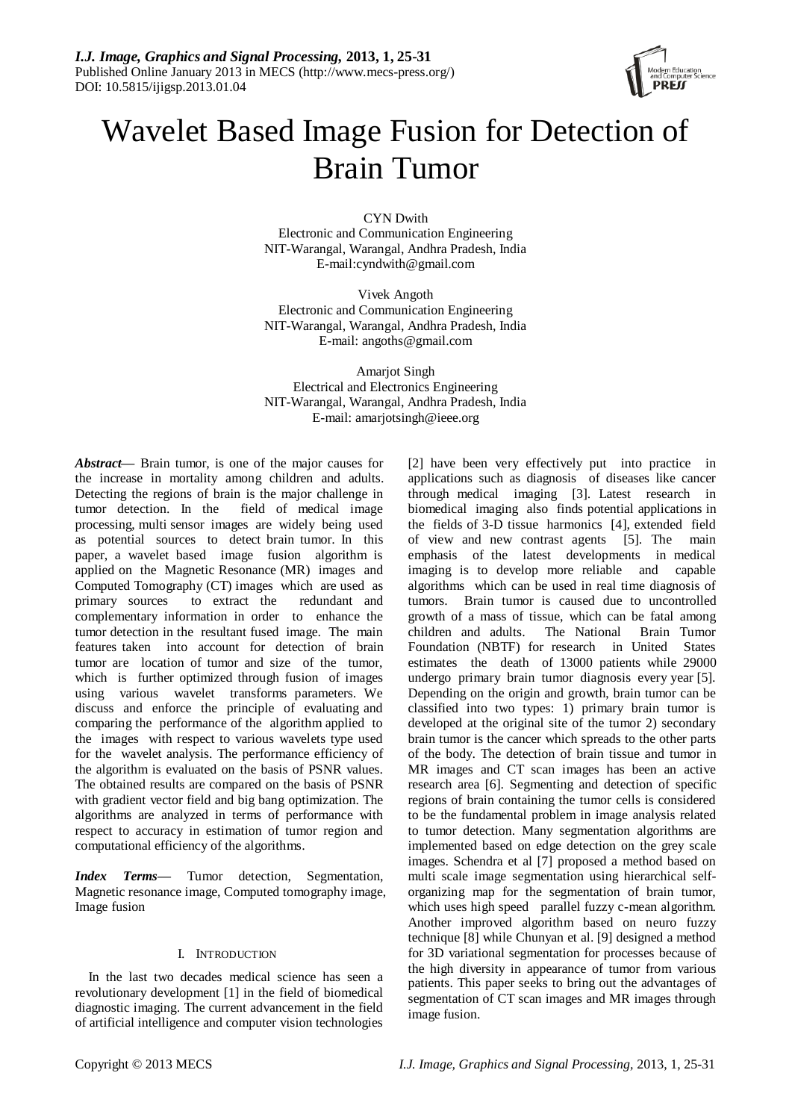

# Wavelet Based Image Fusion for Detection of Brain Tumor

CYN Dwith Electronic and Communication Engineering NIT-Warangal, Warangal, Andhra Pradesh, India E-mail:cyndwith@gmail.com

Vivek Angoth Electronic and Communication Engineering NIT-Warangal, Warangal, Andhra Pradesh, India E-mail: [angoths@gmail.com](mailto:angoths@gmail.com)

Amarjot Singh Electrical and Electronics Engineering NIT-Warangal, Warangal, Andhra Pradesh, India E-mail: amarjotsingh@ieee.org

*Abstract***—** Brain tumor, is one of the major causes for the increase in mortality among children and adults. Detecting the regions of brain is the major challenge in tumor detection. In the field of medical image processing, multi sensor images are widely being used as potential sources to detect brain tumor. In this paper, a wavelet based image fusion algorithm is applied on the Magnetic Resonance (MR) images and Computed Tomography (CT) images which are used as primary sources to extract the redundant and complementary information in order to enhance the tumor detection in the resultant fused image. The main features taken into account for detection of brain tumor are location of tumor and size of the tumor, which is further optimized through fusion of images using various wavelet transforms parameters. We discuss and enforce the principle of evaluating and comparing the performance of the algorithm applied to the images with respect to various wavelets type used for the wavelet analysis. The performance efficiency of the algorithm is evaluated on the basis of PSNR values. The obtained results are compared on the basis of PSNR with gradient vector field and big bang optimization. The algorithms are analyzed in terms of performance with respect to accuracy in estimation of tumor region and computational efficiency of the algorithms.

*Index Terms—* Tumor detection, Segmentation, Magnetic resonance image, Computed tomography image, Image fusion

# I. INTRODUCTION

In the last two decades medical science has seen a revolutionary development [1] in the field of biomedical diagnostic imaging. The current advancement in the field of artificial intelligence and computer vision technologies

[2] have been very effectively put into practice in applications such as diagnosis of diseases like cancer through medical imaging [3]. Latest research in biomedical imaging also finds potential applications in the fields of 3-D tissue harmonics [4], extended field of view and new contrast agents [5]. The main emphasis of the latest developments in medical imaging is to develop more reliable and capable algorithms which can be used in real time diagnosis of tumors. Brain tumor is caused due to uncontrolled growth of a mass of tissue, which can be fatal among children and adults. The National Brain Tumor Foundation (NBTF) for research in United States estimates the death of 13000 patients while 29000 undergo primary brain tumor diagnosis every year [5]. Depending on the origin and growth, brain tumor can be classified into two types: 1) primary brain tumor is developed at the original site of the tumor 2) secondary brain tumor is the cancer which spreads to the other parts of the body. The detection of brain tissue and tumor in MR images and CT scan images has been an active research area [6]. Segmenting and detection of specific regions of brain containing the tumor cells is considered to be the fundamental problem in image analysis related to tumor detection. Many segmentation algorithms are implemented based on edge detection on the grey scale images. Schendra et al [7] proposed a method based on multi scale image segmentation using hierarchical selforganizing map for the segmentation of brain tumor, which uses high speed parallel fuzzy c-mean algorithm. Another improved algorithm based on neuro fuzzy technique [8] while Chunyan et al. [9] designed a method for 3D variational segmentation for processes because of the high diversity in appearance of tumor from various patients. This paper seeks to bring out the advantages of segmentation of CT scan images and MR images through image fusion.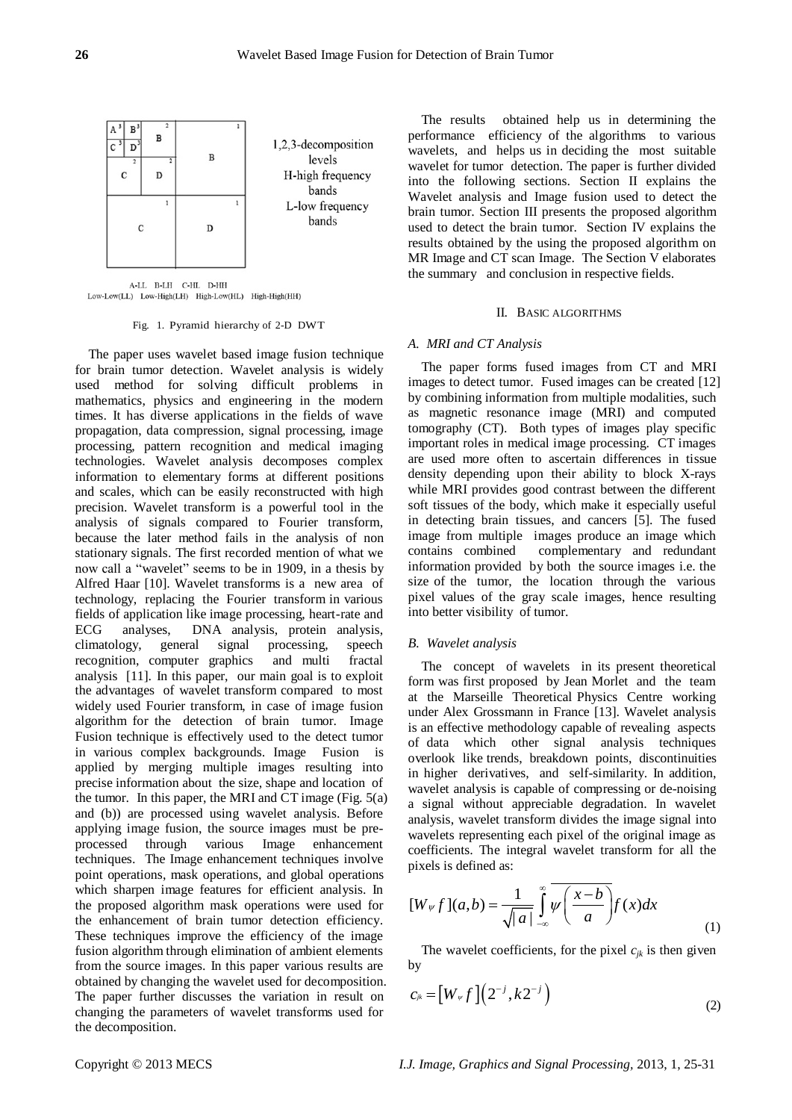

A-LL B-LH C-HL D-HH Low-Low(LL) Low-High(LH) High-Low(HL) High-High(HH)

# Fig. 1. Pyramid hierarchy of 2-D DWT

The paper uses wavelet based image fusion technique for brain tumor detection. Wavelet analysis is widely used method for solving difficult problems in mathematics, physics and engineering in the modern times. It has diverse applications in the fields of wave propagation, data compression, signal processing, image processing, pattern recognition and medical imaging technologies. Wavelet analysis decomposes complex information to elementary forms at different positions and scales, which can be easily reconstructed with high precision. Wavelet transform is a powerful tool in the analysis of signals compared to Fourier transform, because the later method fails in the analysis of non stationary signals. The first recorded mention of what we now call a "wavelet" seems to be in 1909, in a thesis by Alfred Haar [10]. Wavelet transforms is a new area of technology, replacing the Fourier transform in various fields of application like image processing, heart-rate and ECG analyses, DNA analysis, protein analysis, climatology, general signal processing, speech recognition, computer graphics and multi fractal analysis [11]. In this paper, our main goal is to exploit the advantages of wavelet transform compared to most widely used Fourier transform, in case of image fusion algorithm for the detection of brain tumor. Image Fusion technique is effectively used to the detect tumor in various complex backgrounds. Image Fusion is applied by merging multiple images resulting into precise information about the size, shape and location of the tumor. In this paper, the MRI and CT image (Fig.  $5(a)$ ) and (b)) are processed using wavelet analysis. Before applying image fusion, the source images must be preprocessed through various Image enhancement techniques. The Image enhancement techniques involve point operations, mask operations, and global operations which sharpen image features for efficient analysis. In the proposed algorithm mask operations were used for the enhancement of brain tumor detection efficiency. These techniques improve the efficiency of the image fusion algorithm through elimination of ambient elements from the source images. In this paper various results are obtained by changing the wavelet used for decomposition. The paper further discusses the variation in result on changing the parameters of wavelet transforms used for the decomposition.

The results obtained help us in determining the performance efficiency of the algorithms to various wavelets, and helps us in deciding the most suitable wavelet for tumor detection. The paper is further divided into the following sections. Section II explains the Wavelet analysis and Image fusion used to detect the brain tumor. Section III presents the proposed algorithm used to detect the brain tumor. Section IV explains the results obtained by the using the proposed algorithm on MR Image and CT scan Image. The Section V elaborates the summary and conclusion in respective fields.

## II. BASIC ALGORITHMS

# *A. MRI and CT Analysis*

The paper forms fused images from CT and MRI images to detect tumor. Fused images can be created [12] by combining information from multiple modalities, such as magnetic resonance image (MRI) and computed tomography (CT). Both types of images play specific important roles in medical image processing. CT images are used more often to ascertain differences in tissue density depending upon their ability to block X-rays while MRI provides good contrast between the different soft tissues of the body, which make it especially useful in detecting brain tissues, and cancers [5]. The fused image from multiple images produce an image which contains combined complementary and redundant information provided by both the source images i.e. the size of the tumor, the location through the various pixel values of the gray scale images, hence resulting into better visibility of tumor.

### *B. Wavelet analysis*

The concept of wavelets in its present theoretical form was first proposed by Jean Morlet and the team at the Marseille Theoretical Physics Centre working under Alex Grossmann in France [13]. Wavelet analysis is an effective methodology capable of revealing aspects of data which other signal analysis techniques overlook like trends, breakdown points, discontinuities in higher derivatives, and self-similarity. In addition, wavelet analysis is capable of compressing or de-noising a signal without appreciable degradation. In wavelet analysis, wavelet transform divides the image signal into wavelets representing each pixel of the original image as coefficients. The integral wavelet transform for all the pixels is defined as:

$$
[W_{\psi} f](a, b) = \frac{1}{\sqrt{|a|}} \int_{-\infty}^{\infty} \overline{\psi\left(\frac{x-b}{a}\right)} f(x) dx
$$
 (1)

The wavelet coefficients, for the pixel  $c_{jk}$  is then given by

$$
c_{ik} = \left[W_{\nu} f\right] \left(2^{-j}, k2^{-j}\right) \tag{2}
$$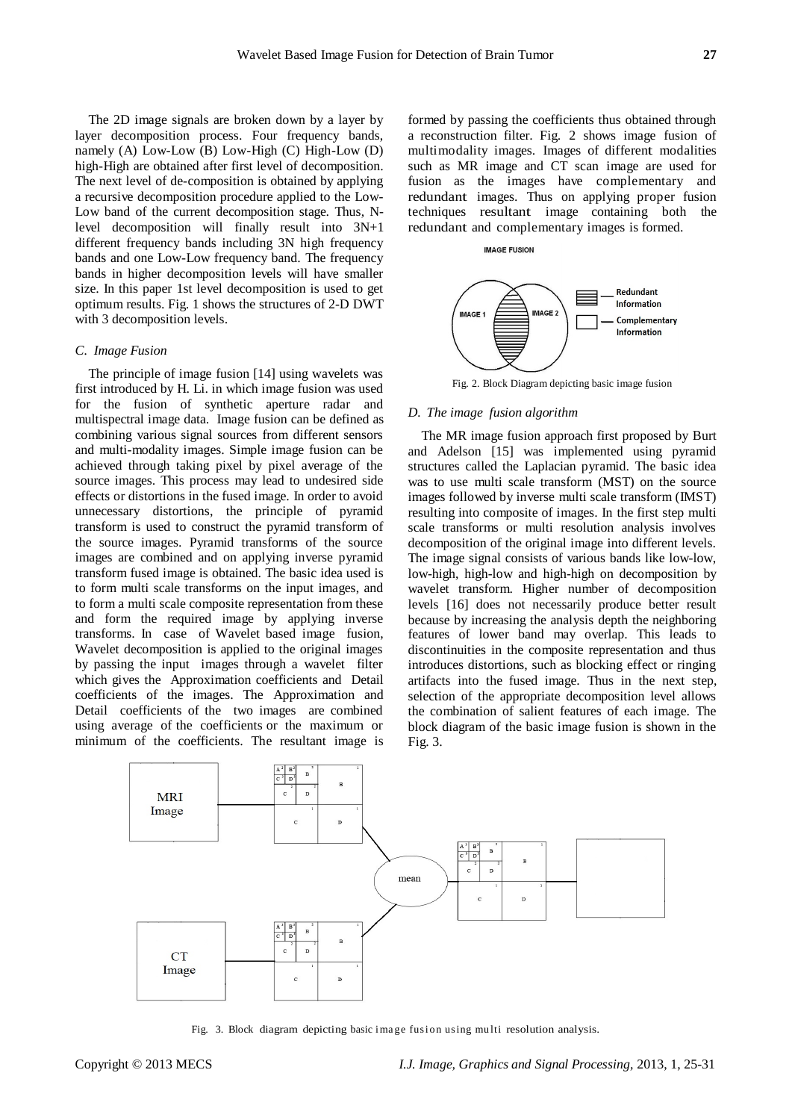The 2D image signals are broken down by a layer by layer decomposition process. Four frequency bands, namely (A) Low-Low (B) Low-High (C) High-Low (D) high-High are obtained after first level of decomposition. The next level of de-composition is obtained by applying a recursive decomposition procedure applied to the Low-Low band of the current decomposition stage. Thus, Nlevel decomposition will finally result into 3N+1 different frequency bands including 3N high frequency bands and one Low-Low frequency band. The frequency bands in higher decomposition levels will have smaller size. In this paper 1st level decomposition is used to get optimum results. Fig. 1 shows the structures of 2-D DWT with 3 decomposition levels.

## *C. Image Fusion*

The principle of image fusion [14] using wavelets was first introduced by H. Li. in which image fusion was used for the fusion of synthetic aperture radar and multispectral image data. Image fusion can be defined as combining various signal sources from different sensors and multi-modality images. Simple image fusion can be achieved through taking pixel by pixel average of the source images. This process may lead to undesired side effects or distortions in the fused image. In order to avoid unnecessary distortions, the principle of pyramid transform is used to construct the pyramid transform of the source images. Pyramid transforms of the source images are combined and on applying inverse pyramid transform fused image is obtained. The basic idea used is to form multi scale transforms on the input images, and to form a multi scale composite representation from these and form the required image by applying inverse transforms. In case of Wavelet based image fusion, Wavelet decomposition is applied to the original images by passing the input images through a wavelet filter which gives the Approximation coefficients and Detail coefficients of the images. The Approximation and Detail coefficients of the two images are combined using average of the coefficients or the maximum or minimum of the coefficients. The resultant image is

formed by passing the coefficients thus obtained through a reconstruction filter. Fig. 2 shows image fusion of multimodality images. Images of different modalities such as MR image and CT scan image are used for fusion as the images have complementary and redundant images. Thus on applying proper fusion techniques resultant image containing both the redundant and complementary images is formed.



Fig. 2. Block Diagram depicting basic image fusion

# *D. The image fusion algorithm*

**IMAGE FUSION** 

The MR image fusion approach first proposed by Burt and Adelson [15] was implemented using pyramid structures called the Laplacian pyramid. The basic idea was to use multi scale transform (MST) on the source images followed by inverse multi scale transform (IMST) resulting into composite of images. In the first step multi scale transforms or multi resolution analysis involves decomposition of the original image into different levels. The image signal consists of various bands like low-low, low-high, high-low and high-high on decomposition by wavelet transform. Higher number of decomposition levels [16] does not necessarily produce better result because by increasing the analysis depth the neighboring features of lower band may overlap. This leads to discontinuities in the composite representation and thus introduces distortions, such as blocking effect or ringing artifacts into the fused image. Thus in the next step, selection of the appropriate decomposition level allows the combination of salient features of each image. The block diagram of the basic image fusion is shown in the Fig. 3.



Fig. 3. Block diagram depicting basic image fusion using multi resolution analysis.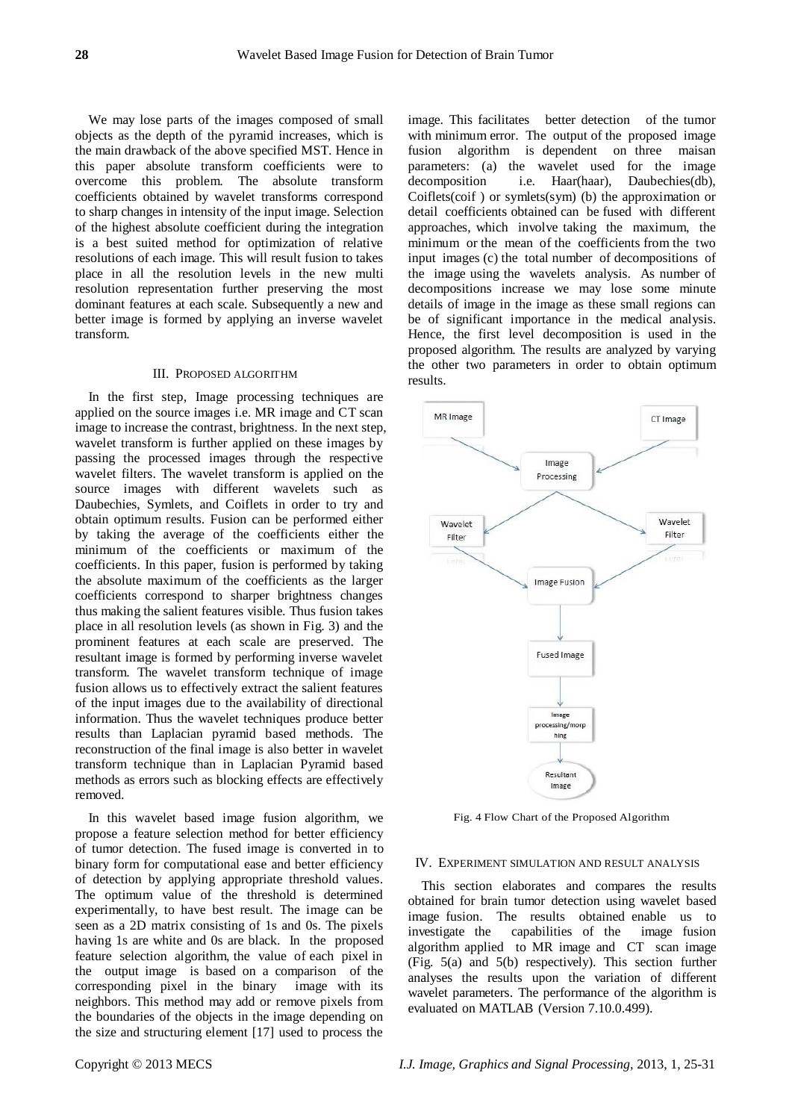We may lose parts of the images composed of small objects as the depth of the pyramid increases, which is the main drawback of the above specified MST. Hence in this paper absolute transform coefficients were to overcome this problem. The absolute transform coefficients obtained by wavelet transforms correspond to sharp changes in intensity of the input image. Selection of the highest absolute coefficient during the integration is a best suited method for optimization of relative resolutions of each image. This will result fusion to takes place in all the resolution levels in the new multi resolution representation further preserving the most dominant features at each scale. Subsequently a new and better image is formed by applying an inverse wavelet transform.

## III. PROPOSED ALGORITHM

In the first step, Image processing techniques are applied on the source images i.e. MR image and CT scan image to increase the contrast, brightness. In the next step, wavelet transform is further applied on these images by passing the processed images through the respective wavelet filters. The wavelet transform is applied on the source images with different wavelets such as Daubechies, Symlets, and Coiflets in order to try and obtain optimum results. Fusion can be performed either by taking the average of the coefficients either the minimum of the coefficients or maximum of the coefficients. In this paper, fusion is performed by taking the absolute maximum of the coefficients as the larger coefficients correspond to sharper brightness changes thus making the salient features visible. Thus fusion takes place in all resolution levels (as shown in Fig. 3) and the prominent features at each scale are preserved. The resultant image is formed by performing inverse wavelet transform. The wavelet transform technique of image fusion allows us to effectively extract the salient features of the input images due to the availability of directional information. Thus the wavelet techniques produce better results than Laplacian pyramid based methods. The reconstruction of the final image is also better in wavelet transform technique than in Laplacian Pyramid based methods as errors such as blocking effects are effectively removed.

In this wavelet based image fusion algorithm, we propose a feature selection method for better efficiency of tumor detection. The fused image is converted in to binary form for computational ease and better efficiency of detection by applying appropriate threshold values. The optimum value of the threshold is determined experimentally, to have best result. The image can be seen as a 2D matrix consisting of 1s and 0s. The pixels having 1s are white and 0s are black. In the proposed feature selection algorithm, the value of each pixel in the output image is based on a comparison of the corresponding pixel in the binary image with its neighbors. This method may add or remove pixels from the boundaries of the objects in the image depending on the size and structuring element [17] used to process the

image. This facilitates better detection of the tumor with minimum error. The output of the proposed image fusion algorithm is dependent on three maisan parameters: (a) the wavelet used for the image decomposition i.e. Haar(haar), Daubechies(db), Coiflets(coif ) or symlets(sym) (b) the approximation or detail coefficients obtained can be fused with different approaches, which involve taking the maximum, the minimum or the mean of the coefficients from the two input images (c) the total number of decompositions of the image using the wavelets analysis. As number of decompositions increase we may lose some minute details of image in the image as these small regions can be of significant importance in the medical analysis. Hence, the first level decomposition is used in the proposed algorithm. The results are analyzed by varying the other two parameters in order to obtain optimum results.



Fig. 4 Flow Chart of the Proposed Algorithm

### IV. EXPERIMENT SIMULATION AND RESULT ANALYSIS

This section elaborates and compares the results obtained for brain tumor detection using wavelet based image fusion. The results obtained enable us to investigate the capabilities of the image fusion algorithm applied to MR image and CT scan image (Fig. 5(a) and 5(b) respectively). This section further analyses the results upon the variation of different wavelet parameters. The performance of the algorithm is evaluated on MATLAB (Version 7.10.0.499).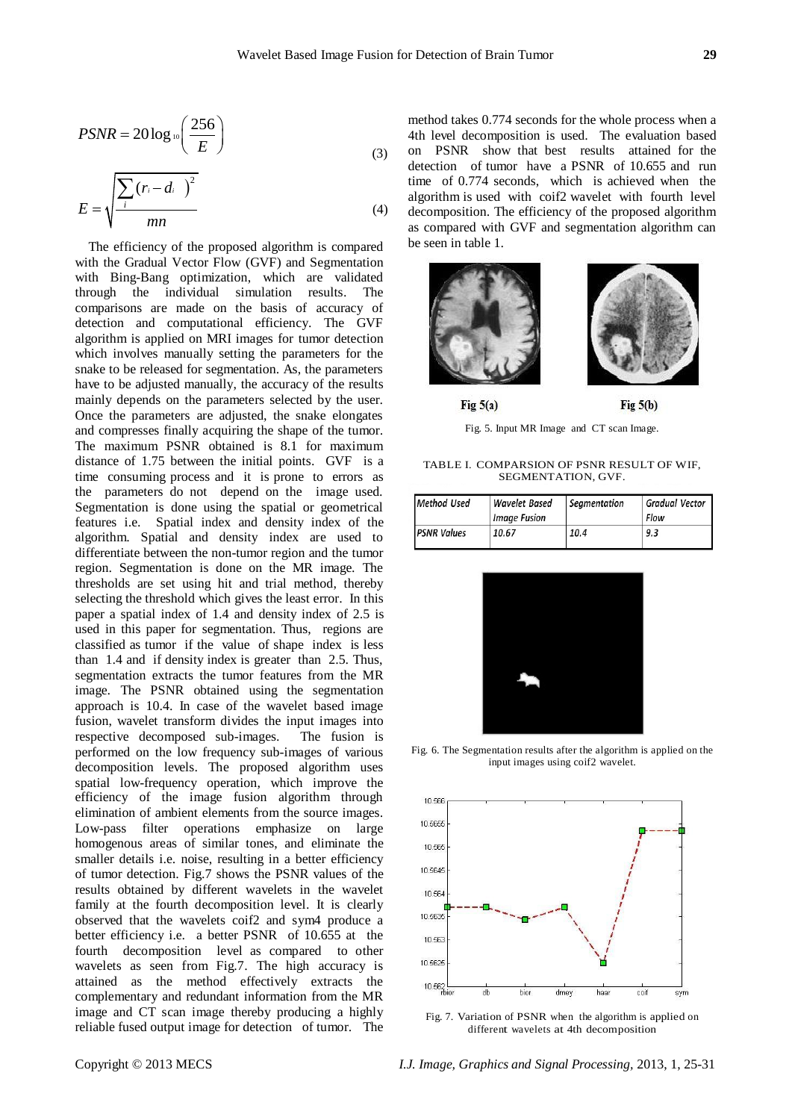$$
PSNR = 20 \log_{10} \left( \frac{256}{E} \right)
$$
 (3)

$$
E = \sqrt{\frac{\sum_{i} (r_i - d_i)^2}{mn}}
$$
 (4)

The efficiency of the proposed algorithm is compared with the Gradual Vector Flow (GVF) and Segmentation with Bing-Bang optimization, which are validated through the individual simulation results. The comparisons are made on the basis of accuracy of detection and computational efficiency. The GVF algorithm is applied on MRI images for tumor detection which involves manually setting the parameters for the snake to be released for segmentation. As, the parameters have to be adjusted manually, the accuracy of the results mainly depends on the parameters selected by the user. Once the parameters are adjusted, the snake elongates and compresses finally acquiring the shape of the tumor. The maximum PSNR obtained is 8.1 for maximum distance of 1.75 between the initial points. GVF is a time consuming process and it is prone to errors as the parameters do not depend on the image used. Segmentation is done using the spatial or geometrical features i.e. Spatial index and density index of the algorithm. Spatial and density index are used to differentiate between the non-tumor region and the tumor region. Segmentation is done on the MR image. The thresholds are set using hit and trial method, thereby selecting the threshold which gives the least error. In this paper a spatial index of 1.4 and density index of 2.5 is used in this paper for segmentation. Thus, regions are classified as tumor if the value of shape index is less than 1.4 and if density index is greater than 2.5. Thus, segmentation extracts the tumor features from the MR image. The PSNR obtained using the segmentation approach is 10.4. In case of the wavelet based image fusion, wavelet transform divides the input images into respective decomposed sub-images. The fusion is performed on the low frequency sub-images of various decomposition levels. The proposed algorithm uses spatial low-frequency operation, which improve the efficiency of the image fusion algorithm through elimination of ambient elements from the source images. Low-pass filter operations emphasize on large homogenous areas of similar tones, and eliminate the smaller details i.e. noise, resulting in a better efficiency of tumor detection. Fig.7 shows the PSNR values of the results obtained by different wavelets in the wavelet family at the fourth decomposition level. It is clearly observed that the wavelets coif2 and sym4 produce a better efficiency i.e. a better PSNR of 10.655 at the fourth decomposition level as compared to other wavelets as seen from Fig.7. The high accuracy is attained as the method effectively extracts the complementary and redundant information from the MR image and CT scan image thereby producing a highly reliable fused output image for detection of tumor. The method takes 0.774 seconds for the whole process when a 4th level decomposition is used. The evaluation based on PSNR show that best results attained for the detection of tumor have a PSNR of 10.655 and run time of 0.774 seconds, which is achieved when the algorithm is used with coif2 wavelet with fourth level decomposition. The efficiency of the proposed algorithm as compared with GVF and segmentation algorithm can be seen in table 1.



Fig. 5. Input MR Image and CT scan Image.

TABLE I. COMPARSION OF PSNR RESULT OF WIF, SEGMENTATION, GVF.

| Method Used        | Wavelet Based<br><b>Image Fusion</b> | Seamentation | <b>Gradual Vector</b><br>Flow |
|--------------------|--------------------------------------|--------------|-------------------------------|
| <b>PSNR Values</b> | 10.67                                | 10.4         | 9.3                           |



Fig. 6. The Segmentation results after the algorithm is applied on the input images using coif2 wavelet.



Fig. 7. Variation of PSNR when the algorithm is applied on different wavelets at 4th decomposition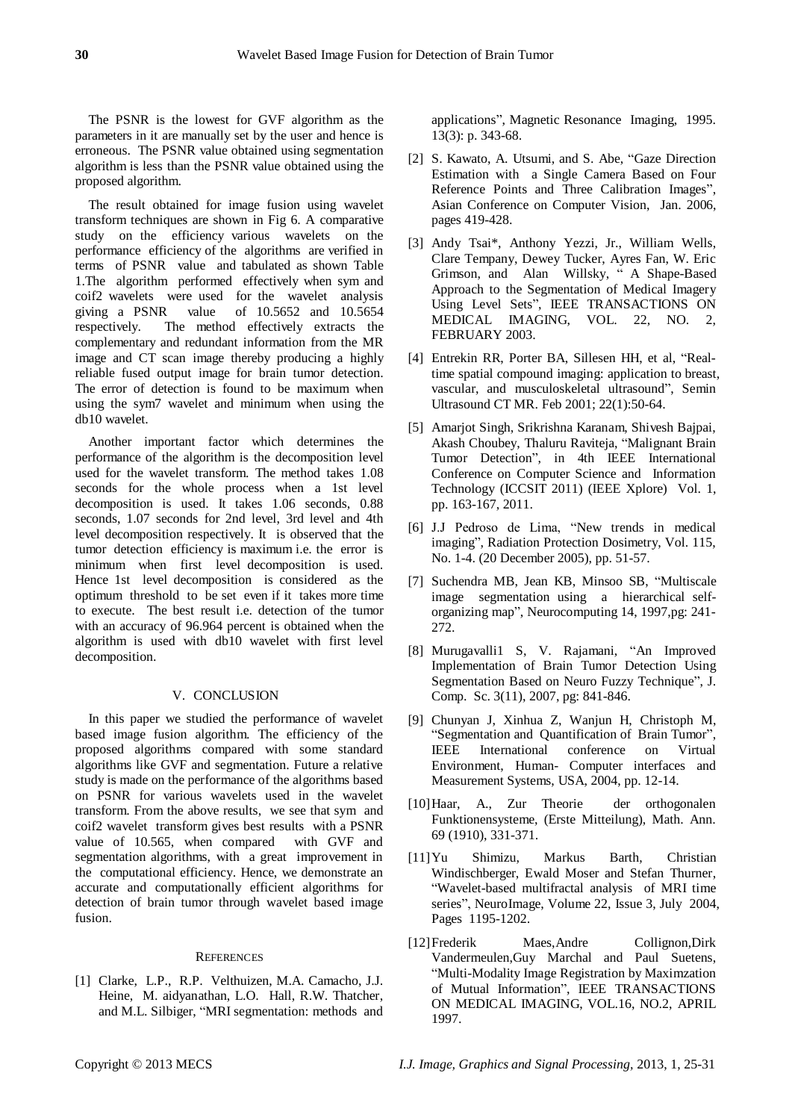The PSNR is the lowest for GVF algorithm as the parameters in it are manually set by the user and hence is erroneous. The PSNR value obtained using segmentation algorithm is less than the PSNR value obtained using the proposed algorithm.

The result obtained for image fusion using wavelet transform techniques are shown in Fig 6. A comparative study on the efficiency various wavelets on the performance efficiency of the algorithms are verified in terms of PSNR value and tabulated as shown Table 1.The algorithm performed effectively when sym and coif2 wavelets were used for the wavelet analysis giving a PSNR value of 10.5652 and 10.5654 respectively. The method effectively extracts the complementary and redundant information from the MR image and CT scan image thereby producing a highly reliable fused output image for brain tumor detection. The error of detection is found to be maximum when using the sym7 wavelet and minimum when using the db10 wavelet.

Another important factor which determines the performance of the algorithm is the decomposition level used for the wavelet transform. The method takes 1.08 seconds for the whole process when a 1st level decomposition is used. It takes 1.06 seconds, 0.88 seconds, 1.07 seconds for 2nd level, 3rd level and 4th level decomposition respectively. It is observed that the tumor detection efficiency is maximum i.e. the error is minimum when first level decomposition is used. Hence 1st level decomposition is considered as the optimum threshold to be set even if it takes more time to execute. The best result i.e. detection of the tumor with an accuracy of 96.964 percent is obtained when the algorithm is used with db10 wavelet with first level decomposition.

# V. CONCLUSION

In this paper we studied the performance of wavelet based image fusion algorithm. The efficiency of the proposed algorithms compared with some standard algorithms like GVF and segmentation. Future a relative study is made on the performance of the algorithms based on PSNR for various wavelets used in the wavelet transform. From the above results, we see that sym and coif2 wavelet transform gives best results with a PSNR value of 10.565, when compared with GVF and segmentation algorithms, with a great improvement in the computational efficiency. Hence, we demonstrate an accurate and computationally efficient algorithms for detection of brain tumor through wavelet based image fusion.

### **REFERENCES**

[1] Clarke, L.P., R.P. Velthuizen, M.A. Camacho, J.J. Heine, M. aidyanathan, L.O. Hall, R.W. Thatcher, and M.L. Silbiger, "MRI segmentation: methods and applications", Magnetic Resonance Imaging, 1995. 13(3): p. 343-68.

- [2] S. Kawato, A. Utsumi, and S. Abe, "Gaze Direction Estimation with a Single Camera Based on Four Reference Points and Three Calibration Images", Asian Conference on Computer Vision, Jan. 2006, pages 419-428.
- [3] Andy Tsai\*, Anthony Yezzi, Jr., William Wells, Clare Tempany, Dewey Tucker, Ayres Fan, W. Eric Grimson, and Alan Willsky, " A Shape-Based Approach to the Segmentation of Medical Imagery Using Level Sets", IEEE TRANSACTIONS ON MEDICAL IMAGING, VOL. 22, NO. 2, FEBRUARY 2003.
- [4] Entrekin RR, Porter BA, Sillesen HH, et al, "Realtime spatial compound imaging: application to breast, vascular, and musculoskeletal ultrasound", Semin Ultrasound CT MR. Feb 2001; 22(1):50-64.
- [5] Amarjot Singh, Srikrishna Karanam, Shivesh Bajpai, Akash Choubey, Thaluru Raviteja, "Malignant Brain Tumor Detection", in 4th IEEE International Conference on Computer Science and Information Technology (ICCSIT 2011) (IEEE Xplore) Vol. 1, pp. 163-167, 2011.
- [6] J.J Pedroso de Lima, "New trends in medical imaging", Radiation Protection Dosimetry, Vol. 115, No. 1-4. (20 December 2005), pp. 51-57.
- [7] Suchendra MB, Jean KB, Minsoo SB, "Multiscale image segmentation using a hierarchical selforganizing map", Neurocomputing 14, 1997,pg: 241- 272.
- [8] Murugavalli1 S, V. Rajamani, "An Improved Implementation of Brain Tumor Detection Using Segmentation Based on Neuro Fuzzy Technique", J. Comp. Sc. 3(11), 2007, pg: 841-846.
- [9] Chunyan J, Xinhua Z, Wanjun H, Christoph M, "Segmentation and Quantification of Brain Tumor", IEEE International conference on Virtual Environment, Human- Computer interfaces and Measurement Systems, USA, 2004, pp. 12-14.
- [10]Haar, A., Zur Theorie der orthogonalen Funktionensysteme, (Erste Mitteilung), Math. Ann. 69 (1910), 331-371.
- [11]Yu Shimizu, Markus Barth, Christian Windischberger, Ewald Moser and Stefan Thurner, "Wavelet-based multifractal analysis of MRI time series", NeuroImage, Volume 22, Issue 3, July 2004, Pages 1195-1202.
- [12]Frederik Maes,Andre Collignon,Dirk Vandermeulen,Guy Marchal and Paul Suetens, "Multi-Modality Image Registration by Maximzation of Mutual Information", IEEE TRANSACTIONS ON MEDICAL IMAGING, VOL.16, NO.2, APRIL 1997.